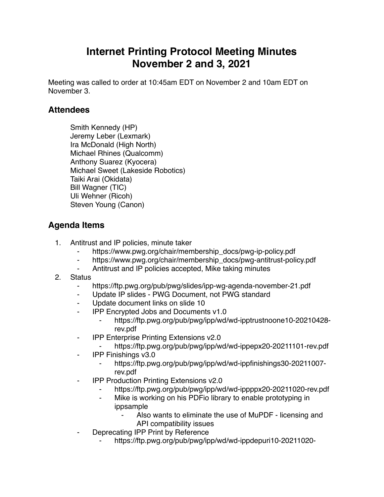# **Internet Printing Protocol Meeting Minutes November 2 and 3, 2021**

Meeting was called to order at 10:45am EDT on November 2 and 10am EDT on November 3.

#### **Attendees**

Smith Kennedy (HP) Jeremy Leber (Lexmark) Ira McDonald (High North) Michael Rhines (Qualcomm) Anthony Suarez (Kyocera) Michael Sweet (Lakeside Robotics) Taiki Arai (Okidata) Bill Wagner (TIC) Uli Wehner (Ricoh) Steven Young (Canon)

### **Agenda Items**

- 1. Antitrust and IP policies, minute taker
	- https://www.pwg.org/chair/membership\_docs/pwg-ip-policy.pdf
	- ⁃ https://www.pwg.org/chair/membership\_docs/pwg-antitrust-policy.pdf
	- Antitrust and IP policies accepted, Mike taking minutes
- 2. Status
	- ⁃ https://ftp.pwg.org/pub/pwg/slides/ipp-wg-agenda-november-21.pdf
	- ⁃ Update IP slides PWG Document, not PWG standard
	- Update document links on slide 10
	- **IPP Encrypted Jobs and Documents v1.0** 
		- ⁃ https://ftp.pwg.org/pub/pwg/ipp/wd/wd-ipptrustnoone10-20210428 rev.pdf
	- **IPP Enterprise Printing Extensions v2.0** 
		- https://ftp.pwg.org/pub/pwg/ipp/wd/wd-ippepx20-20211101-rev.pdf
	- ⁃ IPP Finishings v3.0
		- ⁃ https://ftp.pwg.org/pub/pwg/ipp/wd/wd-ippfinishings30-20211007 rev.pdf
	- **IPP Production Printing Extensions v2.0** 
		- https://ftp.pwg.org/pub/pwg/ipp/wd/wd-ippppx20-20211020-rev.pdf
		- Mike is working on his PDFio library to enable prototyping in ippsample
			- Also wants to eliminate the use of MuPDF licensing and API compatibility issues
	- Deprecating IPP Print by Reference
		- ⁃ https://ftp.pwg.org/pub/pwg/ipp/wd/wd-ippdepuri10-20211020-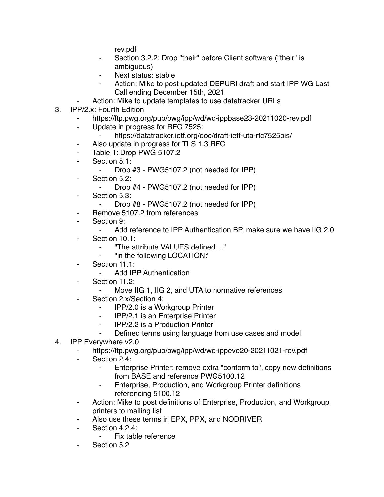rev.pdf

- Section 3.2.2: Drop "their" before Client software ("their" is ambiguous)
- Next status: stable
- Action: Mike to post updated DEPURI draft and start IPP WG Last Call ending December 15th, 2021
- Action: Mike to update templates to use datatracker URLs
- 3. IPP/2.x: Fourth Edition
	- https://ftp.pwg.org/pub/pwg/ipp/wd/wd-ippbase23-20211020-rev.pdf
	- ⁃ Update in progress for RFC 7525:
		- https://datatracker.ietf.org/doc/draft-ietf-uta-rfc7525bis/
	- ⁃ Also update in progress for TLS 1.3 RFC
	- ⁃ Table 1: Drop PWG 5107.2
	- ⁃ Section 5.1:
		- ⁃ Drop #3 PWG5107.2 (not needed for IPP)
	- Section 5.2:
		- ⁃ Drop #4 PWG5107.2 (not needed for IPP)
	- ⁃ Section 5.3:
		- ⁃ Drop #8 PWG5107.2 (not needed for IPP)
	- ⁃ Remove 5107.2 from references
	- ⁃ Section 9:
		- ⁃ Add reference to IPP Authentication BP, make sure we have IIG 2.0
	- Section 10.1:
		- ⁃ "The attribute VALUES defined ..."
		- "in the following LOCATION:"
	- Section 11.1:
		- ⁃ Add IPP Authentication
	- Section 11.2:
		- ⁃ Move IIG 1, IIG 2, and UTA to normative references
	- Section 2.x/Section 4:
		- IPP/2.0 is a Workgroup Printer
		- ⁃ IPP/2.1 is an Enterprise Printer
		- ⁃ IPP/2.2 is a Production Printer
		- ⁃ Defined terms using language from use cases and model
- 4. IPP Everywhere v2.0
	- https://ftp.pwg.org/pub/pwg/ipp/wd/wd-ippeve20-20211021-rev.pdf
	- ⁃ Section 2.4:
		- Enterprise Printer: remove extra "conform to", copy new definitions from BASE and reference PWG5100.12
		- ⁃ Enterprise, Production, and Workgroup Printer definitions referencing 5100.12
	- ⁃ Action: Mike to post definitions of Enterprise, Production, and Workgroup printers to mailing list
	- Also use these terms in EPX, PPX, and NODRIVER
	- ⁃ Section 4.2.4:
		- Fix table reference
	- Section 5.2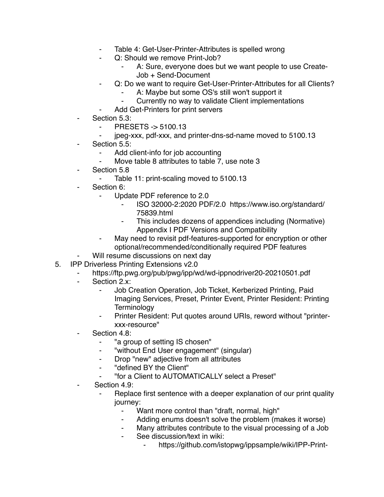- Table 4: Get-User-Printer-Attributes is spelled wrong
- Q: Should we remove Print-Job?
	- A: Sure, everyone does but we want people to use Create-Job + Send-Document
- Q: Do we want to require Get-User-Printer-Attributes for all Clients?
	- A: Maybe but some OS's still won't support it
	- ⁃ Currently no way to validate Client implementations
	- Add Get-Printers for print servers
- Section 5.3:
	- ⁃ PRESETS -> 5100.13
	- ⁃ jpeg-xxx, pdf-xxx, and printer-dns-sd-name moved to 5100.13
- Section 5.5:
	- Add client-info for job accounting
	- Move table 8 attributes to table 7, use note 3
- ⁃ Section 5.8
	- Table 11: print-scaling moved to 5100.13
- Section 6:
	- ⁃ Update PDF reference to 2.0
		- ⁃ ISO 32000-2:2020 PDF/2.0 https://www.iso.org/standard/ 75839.html
		- This includes dozens of appendices including (Normative) Appendix I PDF Versions and Compatibility
	- May need to revisit pdf-features-supported for encryption or other optional/recommended/conditionally required PDF features
	- Will resume discussions on next day
- 5. IPP Driverless Printing Extensions v2.0
	- https://ftp.pwg.org/pub/pwg/ipp/wd/wd-ippnodriver20-20210501.pdf
	- Section 2.x:
		- Job Creation Operation, Job Ticket, Kerberized Printing, Paid Imaging Services, Preset, Printer Event, Printer Resident: Printing **Terminology**
		- ⁃ Printer Resident: Put quotes around URIs, reword without "printerxxx-resource"
	- Section 4.8:
		- ⁃ "a group of setting IS chosen"
		- ⁃ "without End User engagement" (singular)
		- ⁃ Drop "new" adjective from all attributes
		- ⁃ "defined BY the Client"
		- ⁃ "for a Client to AUTOMATICALLY select a Preset"
	- Section 4.9:
		- Replace first sentence with a deeper explanation of our print quality journey:
			- Want more control than "draft, normal, high"
			- ⁃ Adding enums doesn't solve the problem (makes it worse)
			- ⁃ Many attributes contribute to the visual processing of a Job
			- See discussion/text in wiki:
				- https://github.com/istopwg/ippsample/wiki/IPP-Print-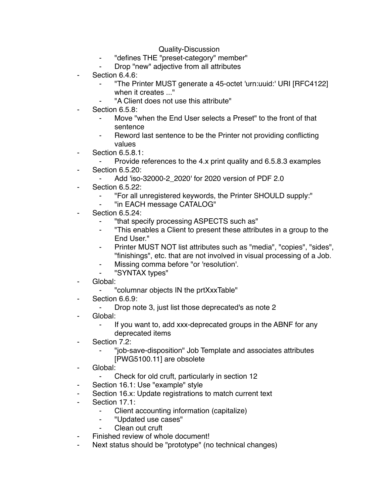#### Quality-Discussion

- ⁃ "defines THE "preset-category" member"
- Drop "new" adjective from all attributes
- Section 6.4.6:
	- ⁃ "The Printer MUST generate a 45-octet 'urn:uuid:' URI [RFC4122] when it creates ..."
	- "A Client does not use this attribute"
- Section 6.5.8:
	- Move "when the End User selects a Preset" to the front of that sentence
	- Reword last sentence to be the Printer not providing conflicting values
- **Section 6.5.8.1:** 
	- Provide references to the 4.x print quality and 6.5.8.3 examples
- **Section 6.5.20:** 
	- ⁃ Add 'iso-32000-2\_2020' for 2020 version of PDF 2.0
- **Section 6.5.22:** 
	- ⁃ "For all unregistered keywords, the Printer SHOULD supply:"
	- ⁃ "in EACH message CATALOG"
- **Section 6.5.24:** 
	- "that specify processing ASPECTS such as"
	- ⁃ "This enables a Client to present these attributes in a group to the End User."
	- Printer MUST NOT list attributes such as "media", "copies", "sides", "finishings", etc. that are not involved in visual processing of a Job.
	- Missing comma before "or 'resolution'.
	- ⁃ "SYNTAX types"
- Global:
	- ⁃ "columnar objects IN the prtXxxTable"
- Section 6.6.9:
	- ⁃ Drop note 3, just list those deprecated's as note 2
- Global:
	- If you want to, add xxx-deprecated groups in the ABNF for any deprecated items
- ⁃ Section 7.2:
	- ⁃ "job-save-disposition" Job Template and associates attributes [PWG5100.11] are obsolete
- Global:
	- Check for old cruft, particularly in section 12
- Section 16.1: Use "example" style
- Section 16.x: Update registrations to match current text
- Section 17.1:
	- Client accounting information (capitalize)
	- ⁃ "Updated use cases"
	- Clean out cruft
- Finished review of whole document!
- Next status should be "prototype" (no technical changes)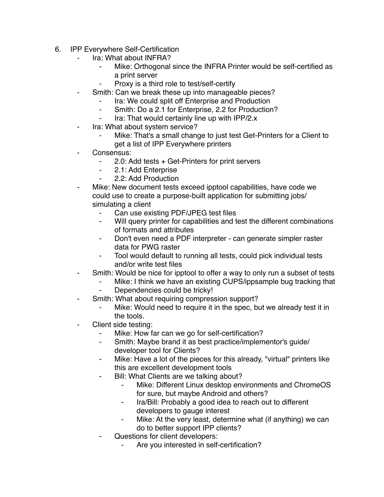- 6. IPP Everywhere Self-Certification
	- Ira: What about INFRA?
		- Mike: Orthogonal since the INFRA Printer would be self-certified as a print server
		- Proxy is a third role to test/self-certify
	- Smith: Can we break these up into manageable pieces?
		- ⁃ Ira: We could split off Enterprise and Production
			- ⁃ Smith: Do a 2.1 for Enterprise, 2.2 for Production?
			- Ira: That would certainly line up with IPP/2.x
	- ⁃ Ira: What about system service?
		- Mike: That's a small change to just test Get-Printers for a Client to get a list of IPP Everywhere printers
	- Consensus:
		- ⁃ 2.0: Add tests + Get-Printers for print servers
		- ⁃ 2.1: Add Enterprise
		- ⁃ 2.2: Add Production
	- Mike: New document tests exceed ipptool capabilities, have code we could use to create a purpose-built application for submitting jobs/ simulating a client
		- ⁃ Can use existing PDF/JPEG test files
		- ⁃ Will query printer for capabilities and test the different combinations of formats and attributes
		- Don't even need a PDF interpreter can generate simpler raster data for PWG raster
		- ⁃ Tool would default to running all tests, could pick individual tests and/or write test files
	- Smith: Would be nice for ipptool to offer a way to only run a subset of tests
		- Mike: I think we have an existing CUPS/ippsample bug tracking that
		- Dependencies could be tricky!
		- Smith: What about requiring compression support?
			- Mike: Would need to require it in the spec, but we already test it in the tools.
	- Client side testing:
		- ⁃ Mike: How far can we go for self-certification?
		- ⁃ Smith: Maybe brand it as best practice/implementor's guide/ developer tool for Clients?
		- ⁃ Mike: Have a lot of the pieces for this already, "virtual" printers like this are excellent development tools
		- Bill: What Clients are we talking about?
			- Mike: Different Linux desktop environments and ChromeOS for sure, but maybe Android and others?
			- ⁃ Ira/Bill: Probably a good idea to reach out to different developers to gauge interest
			- ⁃ Mike: At the very least, determine what (if anything) we can do to better support IPP clients?
		- Questions for client developers:
			- Are you interested in self-certification?